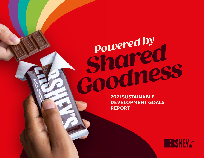**Powered by Powered by**  *Shared Coodness* 

**DEVELOPMENT GOALS REPORT** 

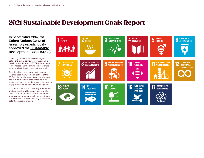# 2021 Sustainable Development Goals Report

#### **In September 2015, the United Nations General Assembly unanimously approved the [Sustainable](https://www.undp.org/sustainable-development-goals) [Development Goals](https://www.undp.org/sustainable-development-goals) (SDGs).**

These 17 goals and their 169 sub-targets define the global framework for sustainable development through 2030. The UN appealed to businesses and the private sector to share responsibility in helping realize these goals.

As a global business, our work at Hershey touches upon many of the objectives of the SDGs including throughout our global supply chain, in how we treat employees, how we manage our environmental impacts and how we engage with communities where we operate.

This report stands as an inventory of where we are today, and how Hershey's work aligns to the SDGs. Our approach is one of continuous improvement, where we seek to maximize our positive impacts while minimizing or eliminating potential negative impacts.

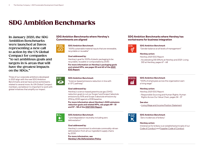# SDG Ambition Benchmarks

**In January 2020, the SDG Ambition Benchmarks were launched at Davos representing a new call to action by the UN Global Compact for companies "to set ambitious goals and targets in 14 areas that will have the greatest impacts on the SDGs."** 

Three of our corporate ambitions developed in 2021 align with the new SDG Ambition Benchmarks and we have active workstreams related to several more. As UN Global Compact members, we believe it is important to work with global initiatives that amplify our impact.



 $\infty$ 

#### **SDG Ambition Benchmarks where Hershey's Commitments are aligned**



#### **SDG Ambition Benchmark**

"100% sustainable material inputs that are renewable, recyclable or reusable"

#### **Goal addressed by:**

Hershey's goal for 100% of plastic packaging to be recyclable, reusable or compostable by 2030.

**For more information on Hershey's packaging goals and related KPIs, see pages 53 and 60 of the [2021](https://www.thehersheycompany.com/content/dam/hershey-corporate/documents/pdf/hershey_2021_esg_report.pdf)  [ESG Report.](https://www.thehersheycompany.com/content/dam/hershey-corporate/documents/pdf/hershey_2021_esg_report.pdf)**

#### **SDG Ambition Benchmark**

"Science-based emissions reduction in line with a 1.5°C pathway"

#### **Goal addressed by:**

Hershey's science-based greenhouse gas (GHG) reduction goals to cut our Scope 1 and Scope 2 absolute emissions by 50% and Scope 3 absolute emissions by 25% by 2030 against a 2018 baseline.

**For more information about Hershey's GHG emissions reduction goals and related KPIs, see pages 49 – 51 and 57 – 58 of the [2021 ESG Report.](https://www.thehersheycompany.com/content/dam/hershey-corporate/documents/pdf/hershey_2021_esg_report.pdf)**



#### **SDG Ambition Benchmark**

"Land degradation neutrality including zero deforestation"

#### **Goal addressed by:**

Hershey's commitment to eliminate commodity-driven deforestation from all our ingredient supply chains by 2030.

**For more information, see [Hershey's No Deforestation Policy](https://www.thehersheycompany.com/content/dam/corporate-us/documents/pdf/HSY_No_Deforestation_Policy.pdf).**

#### **SDG Ambition Benchmarks where Hershey has workstreams for business integration**



#### **SDG Ambition Benchmark**

"Gender balance at all levels of management"

#### **Hershey action:**

Hershey 2021 ESG Report:

• Accelerating DEI Efforts at Hershey and 2021: Living DEI at Hershey, pages 67 – 68



#### **SDG Ambition Benchmark**

"100% of employees across the organization earn a living wage"

#### **Hershey action:**

Hershey 2021 ESG Report:

• Responsible Sourcing and Human Rights: Human Rights Across Our Value Chain, pages 34 – 37

#### **See also:**

• [Living Wage and Income Position Statement](https://www.thehersheycompany.com/content/dam/corporate-us/documents/sustainability/HSY_Living_Wage_Income_Position_Statement.pdf)



#### **SDG Ambition Benchmark**

"Zero incidences of bribery"

#### **Hershey action:**

Intolerance for bribery is an established principle of our [Code of Conduct](https://www.thehersheycompany.com/content/dam/corporate-us/documents/investors/code-of-conduct-english.pdf) and [Supplier Code of Conduct](https://www.thehersheycompany.com/content/dam/corporate-us/documents/partners-and-suppliers/supplier-code-of-conduct.pdf)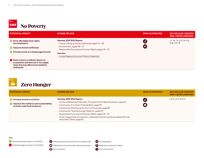# **Manufacturer 1 Second Service Service Service Service Service Service Service Service Service Service Service**

| <b>POTENTIAL IMPACT</b>                                                                                                                     | <b>WHERE WE ARE</b>                                                                                                                                                              | <b>WHO IS IMPACTED</b>                                           | <b>KEY SDG SUB-TARGETS</b><br><b>AND CROSS LINKAGES</b> |
|---------------------------------------------------------------------------------------------------------------------------------------------|----------------------------------------------------------------------------------------------------------------------------------------------------------------------------------|------------------------------------------------------------------|---------------------------------------------------------|
| <b>C</b> Drive affordable land-rights<br>documentation<br><b>Compare in the Universe of Service State</b> in the Improve farmer livelihoods | Hershey 2021 ESG Report:<br>• Cocoa: Lifting up Rural Livelihoods, pages 27 - 28<br>$\cdot$ Environment, pages 48 - 61<br>• Responsible Sourcing and Human Rights, pages 33 - 47 | (ai<br>$\left( \begin{array}{c} 0 \\ 0 \\ 0 \end{array} \right)$ | 1.1, 1.4, 1.5, 2.3, 2.4, 5.A,<br>8.10, 11.5, 13         |
| <b>Provide access to a living wage/income</b>                                                                                               | See also:<br>• Living Wage and Income Position Statement                                                                                                                         |                                                                  |                                                         |
| Exert a direct or indirect impact on<br>ecosystems and land use in our supply<br>chain that may affect local residents'<br>livelihoods      |                                                                                                                                                                                  |                                                                  |                                                         |



| <b>POTENTIAL IMPACT</b>                                                                                                                                          | <b>WHERE WE ARE</b>                                                                                                                                                                                                                                                                                                                                                                                                               | <b>WHO IS IMPACTED</b> | <b>KEY SDG SUB-TARGETS</b><br><b>AND CROSS LINKAGES</b> |
|------------------------------------------------------------------------------------------------------------------------------------------------------------------|-----------------------------------------------------------------------------------------------------------------------------------------------------------------------------------------------------------------------------------------------------------------------------------------------------------------------------------------------------------------------------------------------------------------------------------|------------------------|---------------------------------------------------------|
| <b>Confidence in the Internal Property</b> increase access to nutrition<br><b>Compared to the resilience and sustainability</b><br>of small-scale food producers | Hershey 2021 ESG Report:<br>• Cocoa: Addressing Child Labor Through School-Based Nutrition, page 26<br>• Community: A Culture of Giving Back, page 90<br>• Community: Showing up for Our Communities, page 88<br>• Community: Tackling Hunger Head On, page 90<br>· Responsible Sourcing and Human Rights, pages 33 - 47<br>• Youth: Supporting Connections / Heartwarming Young Heroes Award Winner<br>Nourishes Others, page 82 | û<br>$\clubsuit$       | 1.5, 2.1, 2.3, 2.4, 13                                  |



**Potential positive impact on the SDGs** 

Potential negative impact on the SDGs

**1** Individuals and communities in our supply chain

**A** Individuals and communities where we operate

Our consumers

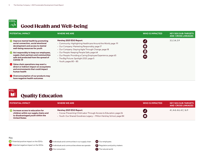

### Good Health and Well-being

| <b>POTENTIAL IMPACT</b>                                                                                                                                        | <b>WHERE WE ARE</b>                                                                                                                                                                                 | <b>WHO IS IMPACTED</b> | <b>KEY SDG SUB-TARGETS</b><br><b>AND CROSS LINKAGES</b> |
|----------------------------------------------------------------------------------------------------------------------------------------------------------------|-----------------------------------------------------------------------------------------------------------------------------------------------------------------------------------------------------|------------------------|---------------------------------------------------------|
| <b>Compares Improvemental health by promoting</b><br>social connection, social emotional<br>development and access to mental<br>well-being resources for youth | Hershey 2021 ESG Report:<br>• Community: Highlighting Healthcare Around the World, page 91<br>• Our Company: Marketing Responsibly, page 17<br>• Our Company: Staying Agile Through Change, page 18 | ( ai<br>$\clubsuit$    | 3.3, 3.4, 3.9                                           |
| Act responsibly to keep our employees,<br>supply chain partners and communities<br>safe and protected from the spread of<br>COVID-19                           | • Our People: Keeping People Safe, page 64<br>• Our People: Providing a Caring Employee Experience, page 65<br>• The Big Picture: Spotlight 2021, page 5<br>• Youth, pages $80 - 85$                | 33                     |                                                         |
| Value chain operations may exert a<br>direct or indirect impact on ecosystems<br>and environments that could impact<br>human health                            |                                                                                                                                                                                                     |                        |                                                         |
| $\bigcirc$ Overconsumption of our products may<br>have negative health outcomes                                                                                |                                                                                                                                                                                                     |                        |                                                         |



| <b>POTENTIAL IMPACT</b>                                                                                                                | <b>WHERE WE ARE</b>                                                                                                                                                      | <b>WHO IS IMPACTED</b> | <b>KEY SDG SUB-TARGETS</b><br><b>AND CROSS LINKAGES</b> |
|----------------------------------------------------------------------------------------------------------------------------------------|--------------------------------------------------------------------------------------------------------------------------------------------------------------------------|------------------------|---------------------------------------------------------|
| Increase access to education for<br>children within our supply chains and<br>to disadvantaged youth within the<br><b>United States</b> | Hershey 2021 ESG Report:<br>• Cocoa: Preventing Child Labor Through Access to Education, page 26<br>· Youth: Our Shared Goodness Legacy - Milton Hershey School, page 84 | Gil                    | 4.1, 4.4, 4.A, 4.C, 16.9                                |



**Potential positive impact on the SDGs** 

**11** Individuals and communities in our supply chain

Potential negative impact on the SDGs

**A** Individuals and communities where we operate Our consumers



**CD** Our employees

The natural world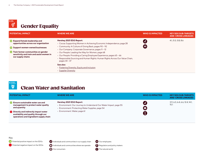

| <b>POTENTIAL IMPACT</b>                                                                                                                                                                                              | <b>WHERE WE ARE</b>                                                                                                                                                                                                                                                                                                                                                                                                                                                                                                              | <b>WHO IS IMPACTED</b> | <b>KEY SDG SUB-TARGETS</b><br><b>AND CROSS LINKAGES</b> |
|----------------------------------------------------------------------------------------------------------------------------------------------------------------------------------------------------------------------|----------------------------------------------------------------------------------------------------------------------------------------------------------------------------------------------------------------------------------------------------------------------------------------------------------------------------------------------------------------------------------------------------------------------------------------------------------------------------------------------------------------------------------|------------------------|---------------------------------------------------------|
| Expand female leadership and<br>opportunities across our organization<br>Support women-owned businesses<br>Train farmer communities on gender<br>o<br>sensitivity and train and assist women in<br>our supply chains | Hershey 2021 ESG Report:<br>• Cocoa: Supporting Women in Achieving Economic Independence, page 28<br>• Community: A Culture of Giving Back, pages 90 - 92<br>• Our Company: Corporate Governance, pages 11 - 12<br>• Our People: Leading the Way for Women, page 68<br>• Our People: Providing a Caring Employee Experience, pages 65 - 66<br>• Responsible Sourcing and Human Rights: Human Rights Across Our Value Chain,<br>pages 34 - 37<br>See also:<br>• Fostering Diversity, Equity and Inclusion<br>• Supplier Diversity | (d<br>33               | 4.1, 5.5, 5.B, 8.6                                      |



### Clean Water and Sanitation

| <b>POTENTIAL IMPACT</b>                                                                                                                                                                                                           | <b>WHERE WE ARE</b>                                                                                                                                                                  | <b>WHO IS IMPACTED</b> | <b>KEY SDG SUB-TARGETS</b><br><b>AND CROSS LINKAGES</b> |
|-----------------------------------------------------------------------------------------------------------------------------------------------------------------------------------------------------------------------------------|--------------------------------------------------------------------------------------------------------------------------------------------------------------------------------------|------------------------|---------------------------------------------------------|
| <b>C</b> Ensure sustainable water use and<br>management to protect water quality<br>and quantity<br>$\Box$ Directly and indirectly impact water<br>availability and quality through our<br>operations and ingredient supply chain | Hershey 2021 ESG Report:<br>• Environment: Our Journey to Understand Our Water Impact, page 55<br>• Environment: Protecting Water Supplies, page 54<br>• Environment: Water, page 61 | £Ш                     | 3.9, 6.3, 6.4, 6.6, 12.4, 14.1,<br>15.1                 |



**Potential positive impact on the SDGs** 



**11** Individuals and communities in our supply chain

**A** Individuals and communities where we operate

Our consumers

Regulators and policy makers The natural world

**CD** Our employees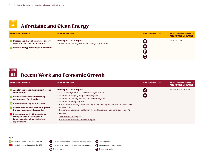

### Affordable and Clean Energy

| <b>POTENTIAL IMPACT</b>                                                                                                                           | <b>WHERE WE ARE</b>                                                                | <b>WHO IS IMPACTED</b> | <b>KEY SDG SUB-TARGETS</b><br><b>AND CROSS LINKAGES</b> |
|---------------------------------------------------------------------------------------------------------------------------------------------------|------------------------------------------------------------------------------------|------------------------|---------------------------------------------------------|
| <b>Confidence in the share of renewable energy</b><br>supported and sourced in the grid<br><b>All improve energy efficiency in our facilities</b> | Hershey 2021 ESG Report:<br>• Environment: Acting on Climate Change, pages 49 - 51 | $\bullet \bullet$      | 7.2, 7.3, 9.4, 13                                       |



### Decent Work and Economic Growth

| <b>POTENTIAL IMPACT</b>                                                                                                             | <b>WHERE WE ARE</b>                                                                                            | <b>WHO IS IMPACTED</b> | <b>KEY SDG SUB-TARGETS</b><br><b>AND CROSS LINKAGES</b> |
|-------------------------------------------------------------------------------------------------------------------------------------|----------------------------------------------------------------------------------------------------------------|------------------------|---------------------------------------------------------|
| Assist in economic development of local<br>communities                                                                              | Hershey 2021 ESG Report:<br>• Cocoa: Lifting up Rural Livelihoods, pages 27 - 28                               |                        | 8.4, 8.5, 8.6, 8.7, 8.8, 16.2                           |
| <b>Promote safe and secure working</b><br>environments for all workers                                                              | • Our People: Keeping People Safe, page 64<br>• Our People: Leading the Way for Women, page 68                 | 33                     |                                                         |
| <b>Promote equal pay for equal work</b>                                                                                             | • Our People: Safety, page 79<br>• Responsible Sourcing and Human Rights: Human Rights Across Our Value Chain, |                        |                                                         |
| Seek to decouple our economic growth<br>from environmental degradation                                                              | pages 34 - 37<br>• Responsible Sourcing and Human Rights: Responsible Sourcing, pages 39 - 42                  |                        |                                                         |
| $\Box$ Industry-wide risk of human rights<br>infringements, including child<br>labor, occurring within agriculture<br>supply chains | See also:<br>$\cdot$ 2021 Form 10-K, pages 6 - 7<br>• Responsible Sourcing Supplier Program                    |                        |                                                         |



**Potential positive impact on the SDGs** 

Δ Potential negative impact on the SDGs **11** Individuals and communities in our supply chain

**Individuals and communities where we operate** Our consumers

Our employees Regulators and policy makers

The natural world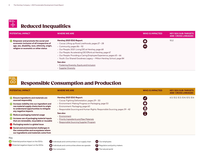

| <b>POTENTIAL IMPACT</b>                                                                                                                                                            | <b>WHERE WE ARE</b>                                                                                                                                                                                                                                                                                                                                                                 | <b>WHO IS IMPACTED</b> | <b>KEY SDG SUB-TARGETS</b><br><b>AND CROSS LINKAGES</b> |
|------------------------------------------------------------------------------------------------------------------------------------------------------------------------------------|-------------------------------------------------------------------------------------------------------------------------------------------------------------------------------------------------------------------------------------------------------------------------------------------------------------------------------------------------------------------------------------|------------------------|---------------------------------------------------------|
| <b>C</b> Empower and promote the social and<br>economic inclusion of all irrespective of<br>age, sex, disability, race, ethnicity, origin,<br>religion or economic or other status | Hershey 2021 ESG Report:<br>• Cocoa: Lifting up Rural Livelihoods, pages 27 - 28<br>• Community, pages $86 - 92$<br>• Our People: 2021: Living DEI at Hershey, page 68<br>• Our People: Accelerating DEI Efforts at Hershey, page 67<br>• Our People: Providing a Caring Employee Experience, pages 65 - 66<br>• Youth: Our Shared Goodness Legacy - Milton Hershey School, page 84 | $\bigcirc$<br>8        | 10.2 <sub>2</sub>                                       |
|                                                                                                                                                                                    | See also:<br>• Fostering Diversity, Equity and Inclusion<br>• Supplier Diversity                                                                                                                                                                                                                                                                                                    |                        |                                                         |



### Responsible Consumption and Production

| <b>POTENTIAL IMPACT</b>                                                                                                                                                                                                                                                                                                                                                                                                                                                                                                                                                                                                                                                                                                                                                              | <b>WHERE WE ARE</b>                                                                                                                                                                                                                                                                                                                                                          | <b>WHO IS IMPACTED</b> | <b>KEY SDG SUB-TARGETS</b><br><b>AND CROSS LINKAGES</b> |
|--------------------------------------------------------------------------------------------------------------------------------------------------------------------------------------------------------------------------------------------------------------------------------------------------------------------------------------------------------------------------------------------------------------------------------------------------------------------------------------------------------------------------------------------------------------------------------------------------------------------------------------------------------------------------------------------------------------------------------------------------------------------------------------|------------------------------------------------------------------------------------------------------------------------------------------------------------------------------------------------------------------------------------------------------------------------------------------------------------------------------------------------------------------------------|------------------------|---------------------------------------------------------|
| <b>Ensure ingredients and materials are</b><br>sourced responsibly<br><b>Confidence in the U.S. Server Street Street Street Street Street Street Street Street Street</b><br>raw material supply chains back to origin<br>to understand opportunities to mitigate<br>any negative impacts<br>Reduce packaging material usage<br><b>Confidence Interior Interior Interior Interior Interior Interior Interior Interior Interior Interior Interior Interior Interior Interior Interior Interior Interior Interior Interior Interior Interior Interior Interior Int</b><br>that are renewable, recyclable or reusable<br>Packaging waste is a global issue<br>Social and environmental challenges in<br>the communities and ecosystems where<br>our ingredients and materials come from | Hershey 2021 ESG Report:<br>• Cocoa: Fighting Deforestation, pages 29 - 30<br>• Environment: Making Progress on Packaging, page 53<br>• Environment: Packaging, page 60<br>• Responsible Sourcing and Human Rights: Responsible Sourcing, pages 39 - 42<br>See also:<br>• Environment<br>• Priority Ingredients and Raw Materials<br>• Responsible Sourcing Supplier Program |                        | 6.3, 12.2, 12.3, 12.4, 12.5, 12.6                       |
| Key<br>Potential positive impact on the SDGs<br>Potential negative impact on the SDGs                                                                                                                                                                                                                                                                                                                                                                                                                                                                                                                                                                                                                                                                                                | (ii) Individuals and communities in our supply chain<br><b>CD</b> Our employees<br>Individuals and communities where we operate<br>Regulators and policy makers                                                                                                                                                                                                              |                        |                                                         |

Our consumers

Regulators and policy makers The natural world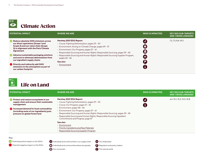

| <b>POTENTIAL IMPACT</b>                                                                                                                                                  | <b>WHERE WE ARE</b>                                                                                                                                                                                                                                                | <b>WHO IS IMPACTED</b> | <b>KEY SDG SUB-TARGETS</b><br><b>AND CROSS LINKAGES</b> |
|--------------------------------------------------------------------------------------------------------------------------------------------------------------------------|--------------------------------------------------------------------------------------------------------------------------------------------------------------------------------------------------------------------------------------------------------------------|------------------------|---------------------------------------------------------|
| Reduce absolute GHG emissions across<br>our direct operations (Scope 1 and<br>Scope 2) and our value chain (Scope<br>3) in alignment with the Paris Climate<br>Agreement | Hershey 2021 ESG Report:<br>• Cocoa: Fighting Deforestation, pages 29 - 30<br>• Environment: Acting on Climate Change, pages 49 - 51<br>• Environment: Our Progress, pages 57 - 61<br>• Responsible Sourcing and Human Rights: Responsible Sourcing, pages 39 - 42 | Gil<br>(☆<br>Ø         | 7.2, 7.3, 8.4, 14.3                                     |
| Advance sustainable packaging solutions<br>and work to eliminate deforestation from<br>our ingredient supply chains                                                      | • Responsible Sourcing and Human Rights: Responsible Sourcing Supplier Program,<br>pages 44 - 46<br>See also:                                                                                                                                                      | 33                     |                                                         |
| Directly and indirectly add GHG<br>emissions to the atmosphere as part of<br>our carbon footprint                                                                        | • Environment                                                                                                                                                                                                                                                      |                        |                                                         |



| <b>POTENTIAL IMPACT</b>                                                                                                                                                                                                               | <b>WHERE WE ARE</b>                                                                                                                                                                                                                                                                                                                                                                                     | <b>WHO IS IMPACTED</b> | <b>KEY SDG SUB-TARGETS</b><br><b>AND CROSS LINKAGES</b> |
|---------------------------------------------------------------------------------------------------------------------------------------------------------------------------------------------------------------------------------------|---------------------------------------------------------------------------------------------------------------------------------------------------------------------------------------------------------------------------------------------------------------------------------------------------------------------------------------------------------------------------------------------------------|------------------------|---------------------------------------------------------|
| <b>Protect and restore ecosystems in our</b><br>supply chain and ensure their sustainable<br>management<br>$\Box$ Increased demand for food commodities<br>(including some of our ingredients) puts<br>pressure on global forest land | Hershey 2021 ESG Report:<br>• Cocoa: Fighting Deforestation, pages 29 - 30<br>• Cocoa: Our Progress, pages 31 - 32<br>$\cdot$ Environment, pages 48 - 56<br>• Environment: Our Progress, pages 57 - 61<br>· Responsible Sourcing and Human Rights: Responsible Sourcing, pages 39 - 42<br>• Responsible Sourcing and Human Rights: Responsible Sourcing Ingredient<br>Commitments and Progress, page 47 | Gil                    | 6.6.15.1, 15.2, 15.5, 15.B                              |
|                                                                                                                                                                                                                                       | See also:<br>• Environment<br>• Priority Ingredients and Raw Materials<br>• Responsible Sourcing Supplier Program                                                                                                                                                                                                                                                                                       |                        |                                                         |

#### Key

**Potential positive impact on the SDGs** 

**1** Individuals and communities in our supply chain

Potential negative impact on the SDGs

**A** Individuals and communities where we operate Our consumers

Regulators and policy makers

The natural world

**Our employees**